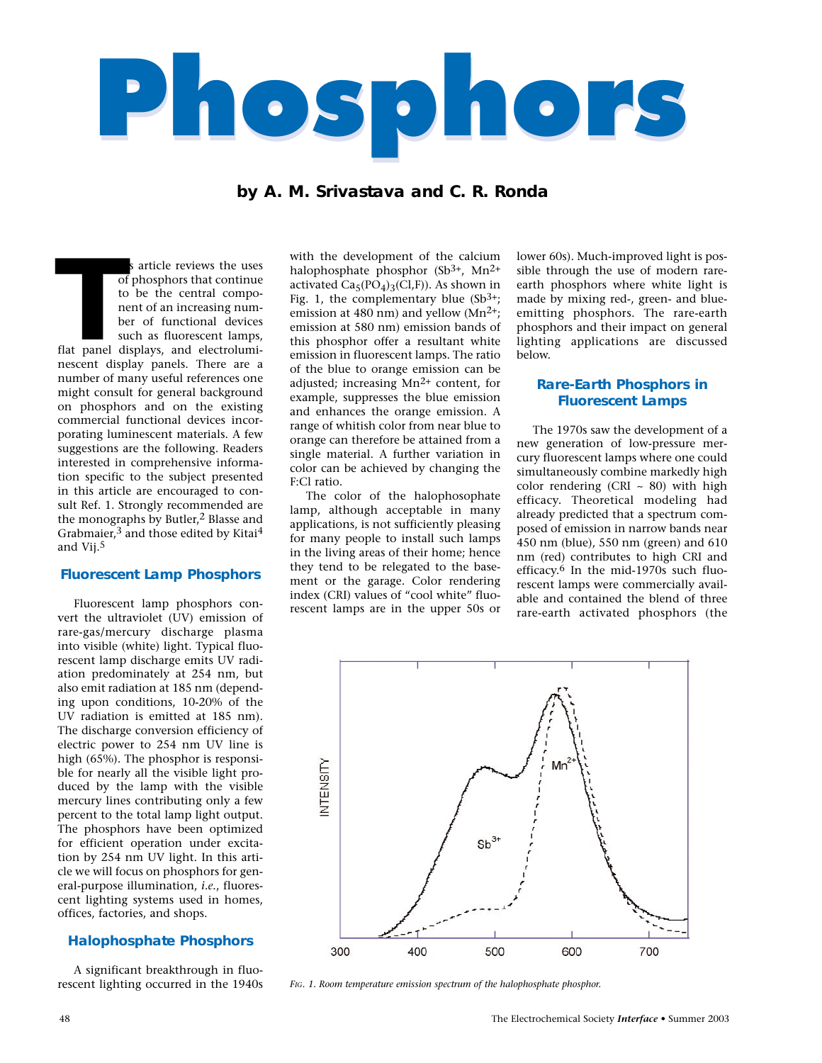

# **by A. M. Srivastava and C. R. Ronda**

his article reviews the uses of phosphors that continue to be the central component of an increasing number of functional devices such as fluorescent lamps, flat panel displays, and electroluminescent display panels. There are a number of many useful references one might consult for general background on phosphors and on the existing commercial functional devices incorporating luminescent materials. A few suggestions are the following. Readers interested in comprehensive information specific to the subject presented in this article are encouraged to consult Ref. 1. Strongly recommended are the monographs by Butler,<sup>2</sup> Blasse and Grabmaier, $3$  and those edited by Kitai $4$ and Vij.5 **That**<br>**That**<br>**Theory**<br>**Theory** 

### **Fluorescent Lamp Phosphors**

Fluorescent lamp phosphors convert the ultraviolet (UV) emission of rare-gas/mercury discharge plasma into visible (white) light. Typical fluorescent lamp discharge emits UV radiation predominately at 254 nm, but also emit radiation at 185 nm (depending upon conditions, 10-20% of the UV radiation is emitted at 185 nm). The discharge conversion efficiency of electric power to 254 nm UV line is high (65%). The phosphor is responsible for nearly all the visible light produced by the lamp with the visible mercury lines contributing only a few percent to the total lamp light output. The phosphors have been optimized for efficient operation under excitation by 254 nm UV light. In this article we will focus on phosphors for general-purpose illumination, *i.e.*, fluorescent lighting systems used in homes, offices, factories, and shops.

#### **Halophosphate Phosphors**

A significant breakthrough in fluorescent lighting occurred in the 1940s

with the development of the calcium halophosphate phosphor  $(Sb<sup>3+</sup>, Mn<sup>2+</sup>)$ activated  $Ca_5(PO_4)_3(Cl,F)$ ). As shown in Fig. 1, the complementary blue  $(Sb<sup>3+</sup>)$ ; emission at 480 nm) and yellow  $(Mn^{2+})$ ; emission at 580 nm) emission bands of this phosphor offer a resultant white emission in fluorescent lamps. The ratio of the blue to orange emission can be adjusted; increasing Mn2+ content, for example, suppresses the blue emission and enhances the orange emission. A range of whitish color from near blue to orange can therefore be attained from a single material. A further variation in color can be achieved by changing the F:Cl ratio.

The color of the halophosophate lamp, although acceptable in many applications, is not sufficiently pleasing for many people to install such lamps in the living areas of their home; hence they tend to be relegated to the basement or the garage. Color rendering index (CRI) values of "cool white" fluorescent lamps are in the upper 50s or

lower 60s). Much-improved light is possible through the use of modern rareearth phosphors where white light is made by mixing red-, green- and blueemitting phosphors. The rare-earth phosphors and their impact on general lighting applications are discussed below.

### **Rare-Earth Phosphors in Fluorescent Lamps**

The 1970s saw the development of a new generation of low-pressure mercury fluorescent lamps where one could simultaneously combine markedly high color rendering (CRI  $\sim$  80) with high efficacy. Theoretical modeling had already predicted that a spectrum composed of emission in narrow bands near 450 nm (blue), 550 nm (green) and 610 nm (red) contributes to high CRI and efficacy.6 In the mid-1970s such fluorescent lamps were commercially available and contained the blend of three rare-earth activated phosphors (the



*FIG. 1. Room temperature emission spectrum of the halophosphate phosphor.*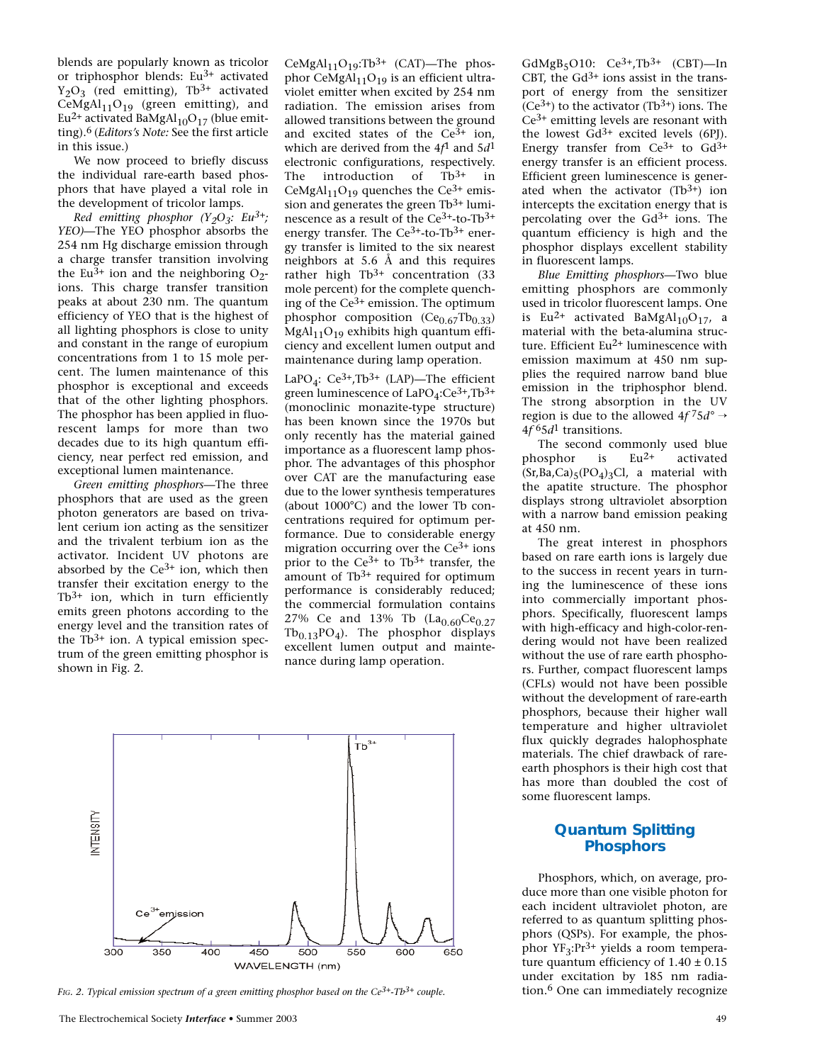blends are popularly known as tricolor or triphosphor blends:  $Eu^{3+}$  activated  $Y_2O_3$  (red emitting), Tb<sup>3+</sup> activated CeMgAl $_{11}$ O<sub>19</sub> (green emitting), and Eu<sup>2+</sup> activated BaMgAl<sub>10</sub>O<sub>17</sub> (blue emitting).6 (*Editors's Note:* See the first article in this issue.)

We now proceed to briefly discuss the individual rare-earth based phosphors that have played a vital role in the development of tricolor lamps.

*Red emitting phosphor (Y2O3: Eu3+; YEO)—*The YEO phosphor absorbs the 254 nm Hg discharge emission through a charge transfer transition involving the Eu<sup>3+</sup> ion and the neighboring  $O_2$ ions. This charge transfer transition peaks at about 230 nm. The quantum efficiency of YEO that is the highest of all lighting phosphors is close to unity and constant in the range of europium concentrations from 1 to 15 mole percent. The lumen maintenance of this phosphor is exceptional and exceeds that of the other lighting phosphors. The phosphor has been applied in fluorescent lamps for more than two decades due to its high quantum efficiency, near perfect red emission, and exceptional lumen maintenance.

*Green emitting phosphors—*The three phosphors that are used as the green photon generators are based on trivalent cerium ion acting as the sensitizer and the trivalent terbium ion as the activator. Incident UV photons are absorbed by the  $Ce^{3+}$  ion, which then transfer their excitation energy to the  $Tb^{3+}$  ion, which in turn efficiently emits green photons according to the energy level and the transition rates of the  $Tb^{3+}$  ion. A typical emission spectrum of the green emitting phosphor is shown in Fig. 2.

CeMgAl<sub>11</sub>O<sub>19</sub>:Tb<sup>3+</sup> (CAT)—The phosphor CeMgAl $_{11}O_{19}$  is an efficient ultraviolet emitter when excited by 254 nm radiation. The emission arises from allowed transitions between the ground and excited states of the  $Ce^{3+}$  ion, which are derived from the 4*f*1 and 5*d*1 electronic configurations, respectively. The introduction of  $\overline{1}b^{3+}$  in CeMgAl<sub>11</sub>O<sub>19</sub> quenches the Ce<sup>3+</sup> emission and generates the green  $Tb^{3+}$  luminescence as a result of the  $Ce^{3+}$ -to-Tb<sup>3+</sup> energy transfer. The  $Ce^{3+}$ -to-Tb<sup>3+</sup> energy transfer is limited to the six nearest neighbors at 5.6  $\AA$  and this requires rather high Tb<sup>3+</sup> concentration (33 mole percent) for the complete quenching of the  $Ce^{3+}$  emission. The optimum phosphor composition  $(Ce_{0.67}Tb_{0.33})$  $MgAl<sub>11</sub>O<sub>19</sub>$  exhibits high quantum efficiency and excellent lumen output and maintenance during lamp operation.

LaPO<sub>4</sub>:  $Ce^{3+}$ ,Tb<sup>3+</sup> (LAP)—The efficient green luminescence of  $LaPO<sub>4</sub>:Ce<sup>3+</sup>, Tb<sup>3+</sup>$ (monoclinic monazite-type structure) has been known since the 1970s but only recently has the material gained importance as a fluorescent lamp phosphor. The advantages of this phosphor over CAT are the manufacturing ease due to the lower synthesis temperatures (about 1000°C) and the lower Tb concentrations required for optimum performance. Due to considerable energy migration occurring over the  $Ce^{3+}$  ions prior to the  $Ce^{3+}$  to Tb<sup>3+</sup> transfer, the amount of  $Tb^{3+}$  required for optimum performance is considerably reduced; the commercial formulation contains 27% Ce and 13% Tb  $(La_{0.60}Ce_{0.27})$  $Tb_{0.13}PO_4$ ). The phosphor displays excellent lumen output and maintenance during lamp operation.



FIG. 2. Typical emission spectrum of a green emitting phosphor based on the Ce<sup>3+</sup>-Tb<sup>3+</sup> couple. **6 immediation immediately recognize** 

 $GdMgB<sub>5</sub>O10$ :  $Ce<sup>3+</sup>$ ,  $Tb<sup>3+</sup>$  (CBT) - In CBT, the  $Gd^{3+}$  ions assist in the transport of energy from the sensitizer  $(Ce^{3+})$  to the activator (Tb<sup>3+</sup>) ions. The  $Ce<sup>3+</sup>$  emitting levels are resonant with the lowest  $Gd^{3+}$  excited levels (6PJ). Energy transfer from  $Ce^{3+}$  to  $Gd^{3+}$ energy transfer is an efficient process. Efficient green luminescence is generated when the activator  $(Tb^{3+})$  ion intercepts the excitation energy that is percolating over the  $Gd^{3+}$  ions. The quantum efficiency is high and the phosphor displays excellent stability in fluorescent lamps.

*Blue Emitting phosphors*—Two blue emitting phosphors are commonly used in tricolor fluorescent lamps. One is Eu<sup>2+</sup> activated BaMgAl<sub>10</sub>O<sub>17</sub>, a material with the beta-alumina structure. Efficient  $Eu^{2+}$  luminescence with emission maximum at 450 nm supplies the required narrow band blue emission in the triphosphor blend. The strong absorption in the UV region is due to the allowed  $4f^75d^{\circ} \rightarrow$ 4*f* 65*d*1 transitions.

The second commonly used blue phosphor is  $Eu^{2+}$  activated  $(Sr, Ba, Ca)_{5}(PO_{4})_{3}Cl$ , a material with the apatite structure. The phosphor displays strong ultraviolet absorption with a narrow band emission peaking at 450 nm.

The great interest in phosphors based on rare earth ions is largely due to the success in recent years in turning the luminescence of these ions into commercially important phosphors. Specifically, fluorescent lamps with high-efficacy and high-color-rendering would not have been realized without the use of rare earth phosphors. Further, compact fluorescent lamps (CFLs) would not have been possible without the development of rare-earth phosphors, because their higher wall temperature and higher ultraviolet flux quickly degrades halophosphate materials. The chief drawback of rareearth phosphors is their high cost that has more than doubled the cost of some fluorescent lamps.

## **Quantum Splitting Phosphors**

Phosphors, which, on average, produce more than one visible photon for each incident ultraviolet photon, are referred to as quantum splitting phosphors (QSPs). For example, the phosphor  $YF_3:Pr^{3+}$  yields a room temperature quantum efficiency of  $1.40 \pm 0.15$ under excitation by 185 nm radia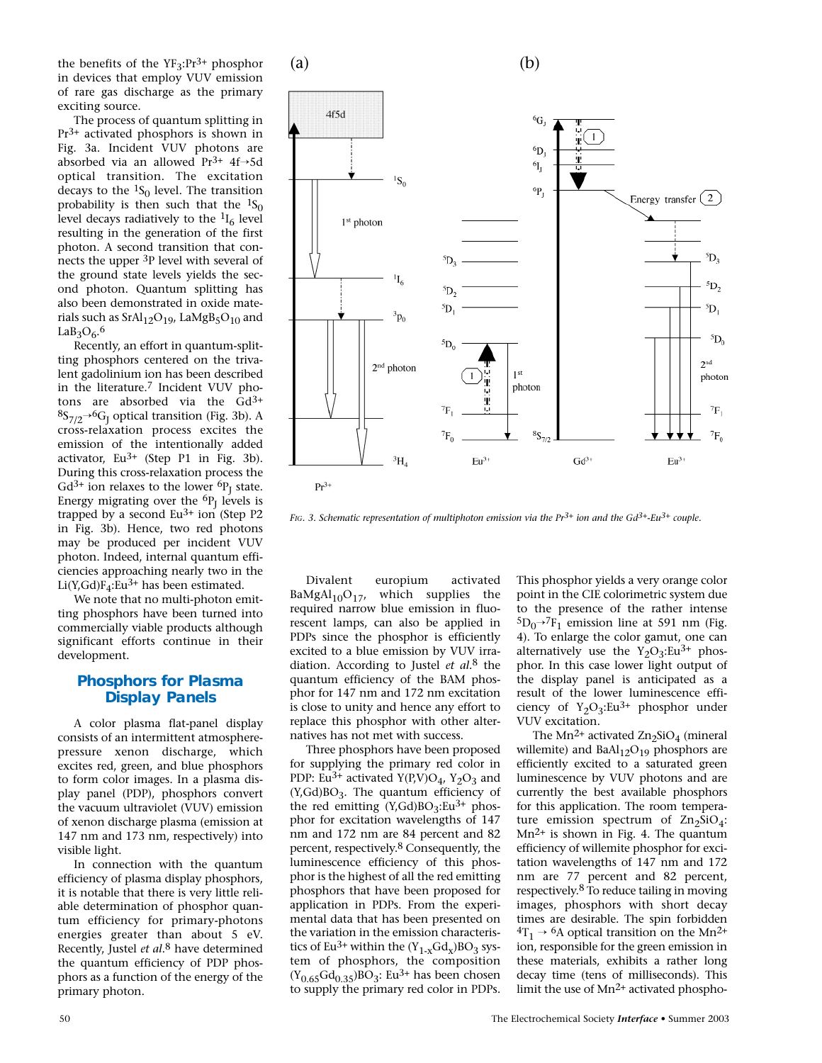the benefits of the  $YF_3:Pr^{3+}$  phosphor in devices that employ VUV emission of rare gas discharge as the primary exciting source.

The process of quantum splitting in  $Pr<sup>3+</sup>$  activated phosphors is shown in Fig. 3a. Incident VUV photons are absorbed via an allowed  $Pr^{3+}$  4f→5d optical transition. The excitation decays to the  ${}^{1}S_{0}$  level. The transition probability is then such that the  ${}^{1}S_{0}$ level decays radiatively to the  $\frac{1}{6}$  level resulting in the generation of the first photon. A second transition that connects the upper <sup>3</sup>P level with several of the ground state levels yields the second photon. Quantum splitting has also been demonstrated in oxide materials such as  $SrAl<sub>12</sub>O<sub>19</sub>$ , LaMgB<sub>5</sub>O<sub>10</sub> and  $LaB_3O_6.6$ 

Recently, an effort in quantum-splitting phosphors centered on the trivalent gadolinium ion has been described in the literature.7 Incident VUV photons are absorbed via the  $Gd^{3+}$  ${}^{8}S_{7/2}{}^{\rightarrow} {}^{6}G_{I}$  optical transition (Fig. 3b). A cross-relaxation process excites the emission of the intentionally added activator,  $Eu^{3+}$  (Step P1 in Fig. 3b). During this cross-relaxation process the  $Gd^{3+}$  ion relaxes to the lower  ${}^{6}P_1$  state. Energy migrating over the  ${}^{6}P_1$  levels is trapped by a second  $Eu^{3+}$  ion (Step P2 in Fig. 3b). Hence, two red photons may be produced per incident VUV photon. Indeed, internal quantum efficiencies approaching nearly two in the Li(Y,Gd) $F_4$ :Eu<sup>3+</sup> has been estimated.

We note that no multi-photon emitting phosphors have been turned into commercially viable products although significant efforts continue in their development.

### **Phosphors for Plasma Display Panels**

A color plasma flat-panel display consists of an intermittent atmospherepressure xenon discharge, which excites red, green, and blue phosphors to form color images. In a plasma display panel (PDP), phosphors convert the vacuum ultraviolet (VUV) emission of xenon discharge plasma (emission at 147 nm and 173 nm, respectively) into visible light.

In connection with the quantum efficiency of plasma display phosphors, it is notable that there is very little reliable determination of phosphor quantum efficiency for primary-photons energies greater than about 5 eV. Recently, Justel *et al*.8 have determined the quantum efficiency of PDP phosphors as a function of the energy of the primary photon.



*FIG. 3. Schematic representation of multiphoton emission via the Pr3+ ion and the Gd3+-Eu3+ couple.*

Divalent europium activated  $BaMgAl_{10}O_{17}$ , which supplies the required narrow blue emission in fluorescent lamps, can also be applied in PDPs since the phosphor is efficiently excited to a blue emission by VUV irradiation. According to Justel *et al.*8 the quantum efficiency of the BAM phosphor for 147 nm and 172 nm excitation is close to unity and hence any effort to replace this phosphor with other alternatives has not met with success.

Three phosphors have been proposed for supplying the primary red color in PDP: Eu<sup>3+</sup> activated Y(P,V)O<sub>4</sub>, Y<sub>2</sub>O<sub>3</sub> and  $(Y, Gd)BO<sub>3</sub>$ . The quantum efficiency of the red emitting  $(Y,\text{Gd})BO_{3}$ :Eu<sup>3+</sup> phosphor for excitation wavelengths of 147 nm and 172 nm are 84 percent and 82 percent, respectively.8 Consequently, the luminescence efficiency of this phosphor is the highest of all the red emitting phosphors that have been proposed for application in PDPs. From the experimental data that has been presented on the variation in the emission characteristics of Eu<sup>3+</sup> within the  $(Y_{1-x}Gd_x)BO_3$  system of phosphors, the composition  $(Y_{0.65}Gd_{0.35})BO_3$ : Eu<sup>3+</sup> has been chosen to supply the primary red color in PDPs.

This phosphor yields a very orange color point in the CIE colorimetric system due to the presence of the rather intense  ${}^5D_0$ <sup>→7</sup>F<sub>1</sub> emission line at 591 nm (Fig. 4). To enlarge the color gamut, one can alternatively use the  $Y_2O_3$ :Eu<sup>3+</sup> phosphor. In this case lower light output of the display panel is anticipated as a result of the lower luminescence efficiency of  $Y_2O_3$ :Eu<sup>3+</sup> phosphor under VUV excitation.

The Mn<sup>2+</sup> activated  $\text{Zn}_2\text{SiO}_4$  (mineral willemite) and  $BaAl<sub>12</sub>O<sub>19</sub>$  phosphors are efficiently excited to a saturated green luminescence by VUV photons and are currently the best available phosphors for this application. The room temperature emission spectrum of  $\text{Zn}_2\text{SiO}_4$ :  $Mn^{2+}$  is shown in Fig. 4. The quantum efficiency of willemite phosphor for excitation wavelengths of 147 nm and 172 nm are 77 percent and 82 percent, respectively.8 To reduce tailing in moving images, phosphors with short decay times are desirable. The spin forbidden  ${}^{4}T_1 \rightarrow {}^{6}A$  optical transition on the Mn<sup>2+</sup> ion, responsible for the green emission in these materials, exhibits a rather long decay time (tens of milliseconds). This limit the use of  $Mn^{2+}$  activated phospho-